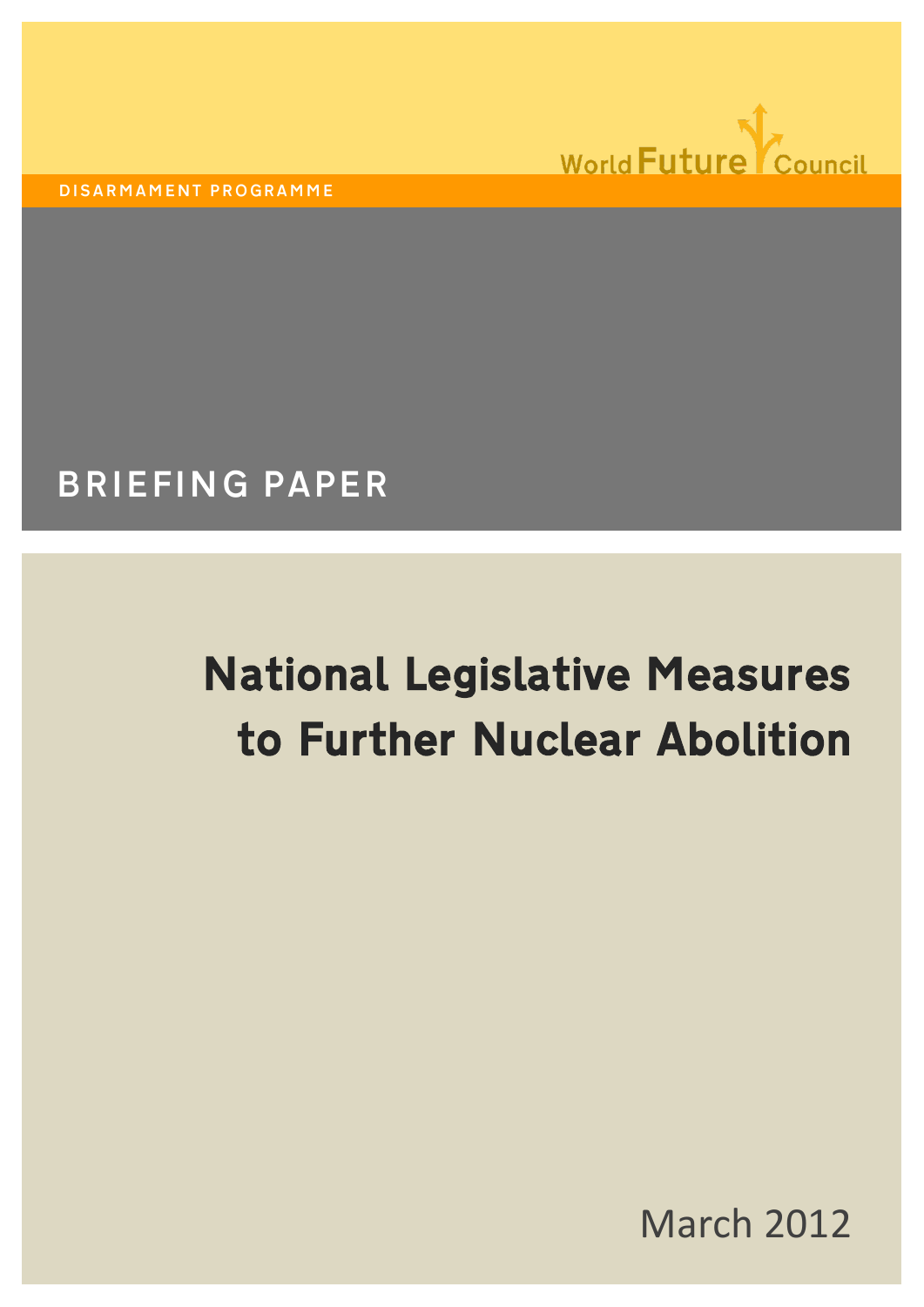

DISARMAMENT PROGRAMME

# BRIEFING PAPER

# National Legislative Measures to Further Nuclear Abolition

March 2012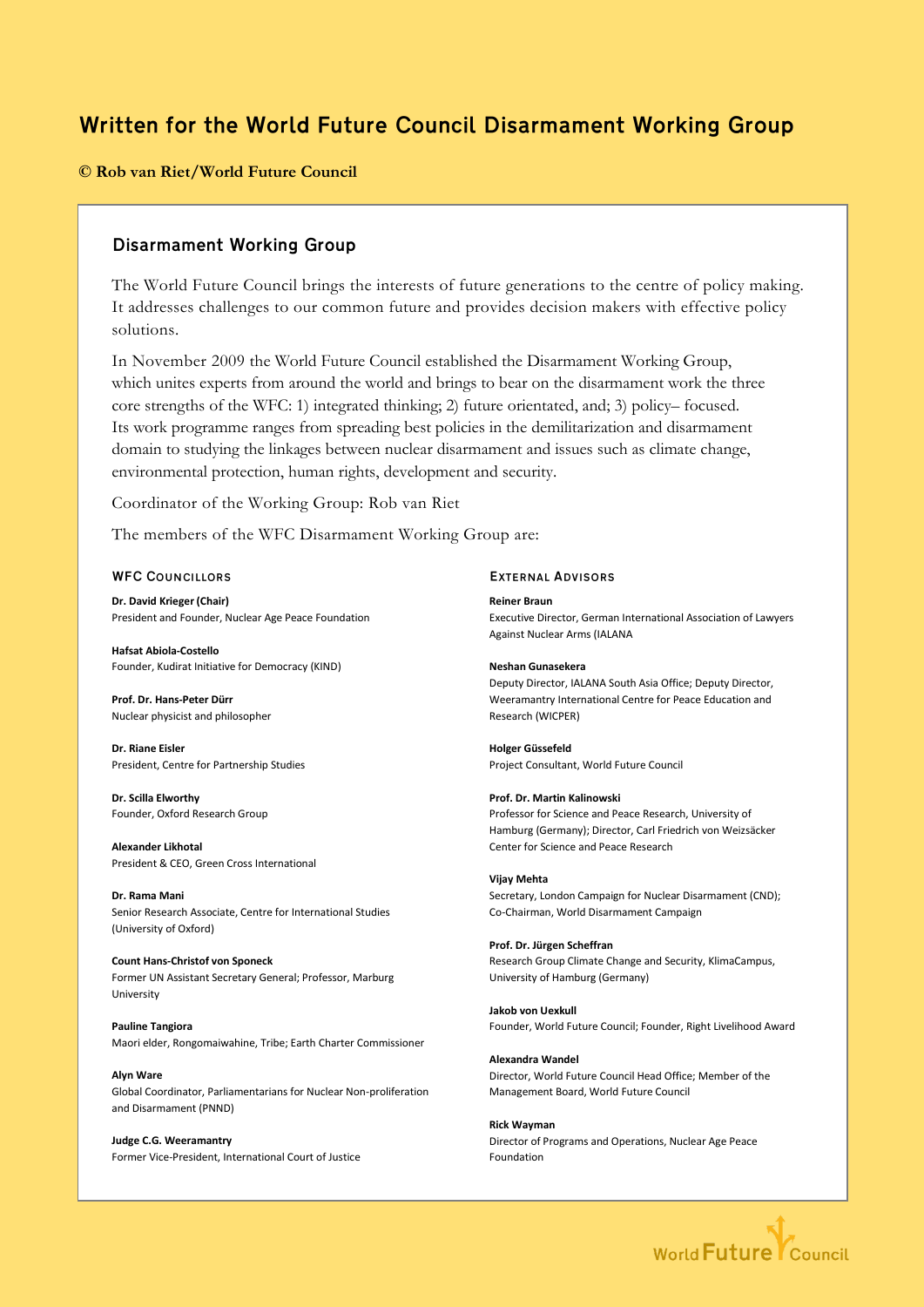# Written for the World Future Council Disarmament Working Group

### **© Rob van Riet/World Future Council**

# Disarmament Working Group

The World Future Council brings the interests of future generations to the centre of policy making. It addresses challenges to our common future and provides decision makers with effective policy solutions.

In November 2009 the World Future Council established the Disarmament Working Group, which unites experts from around the world and brings to bear on the disarmament work the three core strengths of the WFC: 1) integrated thinking; 2) future orientated, and; 3) policy– focused. Its work programme ranges from spreading best policies in the demilitarization and disarmament domain to studying the linkages between nuclear disarmament and issues such as climate change, environmental protection, human rights, development and security.

Coordinator of the Working Group: Rob van Riet

The members of the WFC Disarmament Working Group are:

#### WFC COUNCILLORS

**Dr. David Krieger (Chair)**  President and Founder, Nuclear Age Peace Foundation

**Hafsat Abiola-Costello**  Founder, Kudirat Initiative for Democracy (KIND)

**Prof. Dr. Hans-Peter Dürr**  Nuclear physicist and philosopher

**Dr. Riane Eisler**  President, Centre for Partnership Studies

**Dr. Scilla Elworthy** Founder, Oxford Research Group

**Alexander Likhotal** President & CEO, Green Cross International

**Dr. Rama Mani**  Senior Research Associate, Centre for International Studies (University of Oxford)

**Count Hans-Christof von Sponeck** Former UN Assistant Secretary General; Professor, Marburg University

**Pauline Tangiora**  Maori elder, Rongomaiwahine, Tribe; Earth Charter Commissioner

**Alyn Ware**  Global Coordinator, Parliamentarians for Nuclear Non-proliferation and Disarmament (PNND)

**Judge C.G. Weeramantry**  Former Vice-President, International Court of Justice

#### EXTERNAL ADVISORS

**Reiner Braun**  Executive Director, German International Association of Lawyers Against Nuclear Arms (IALANA

#### **Neshan Gunasekera**

Deputy Director, IALANA South Asia Office; Deputy Director, Weeramantry International Centre for Peace Education and Research (WICPER)

**Holger Güssefeld**  Project Consultant, World Future Council

#### **Prof. Dr. Martin Kalinowski**

Professor for Science and Peace Research, University of Hamburg (Germany); Director, Carl Friedrich von Weizsäcker Center for Science and Peace Research

#### **Vijay Mehta**

Secretary, London Campaign for Nuclear Disarmament (CND); Co-Chairman, World Disarmament Campaign

#### **Prof. Dr. Jürgen Scheffran**

Research Group Climate Change and Security, KlimaCampus, University of Hamburg (Germany)

#### **Jakob von Uexkull**

Founder, World Future Council; Founder, Right Livelihood Award

**Alexandra Wandel**  Director, World Future Council Head Office; Member of the Management Board, World Future Council

**Rick Wayman**  Director of Programs and Operations, Nuclear Age Peace Foundation

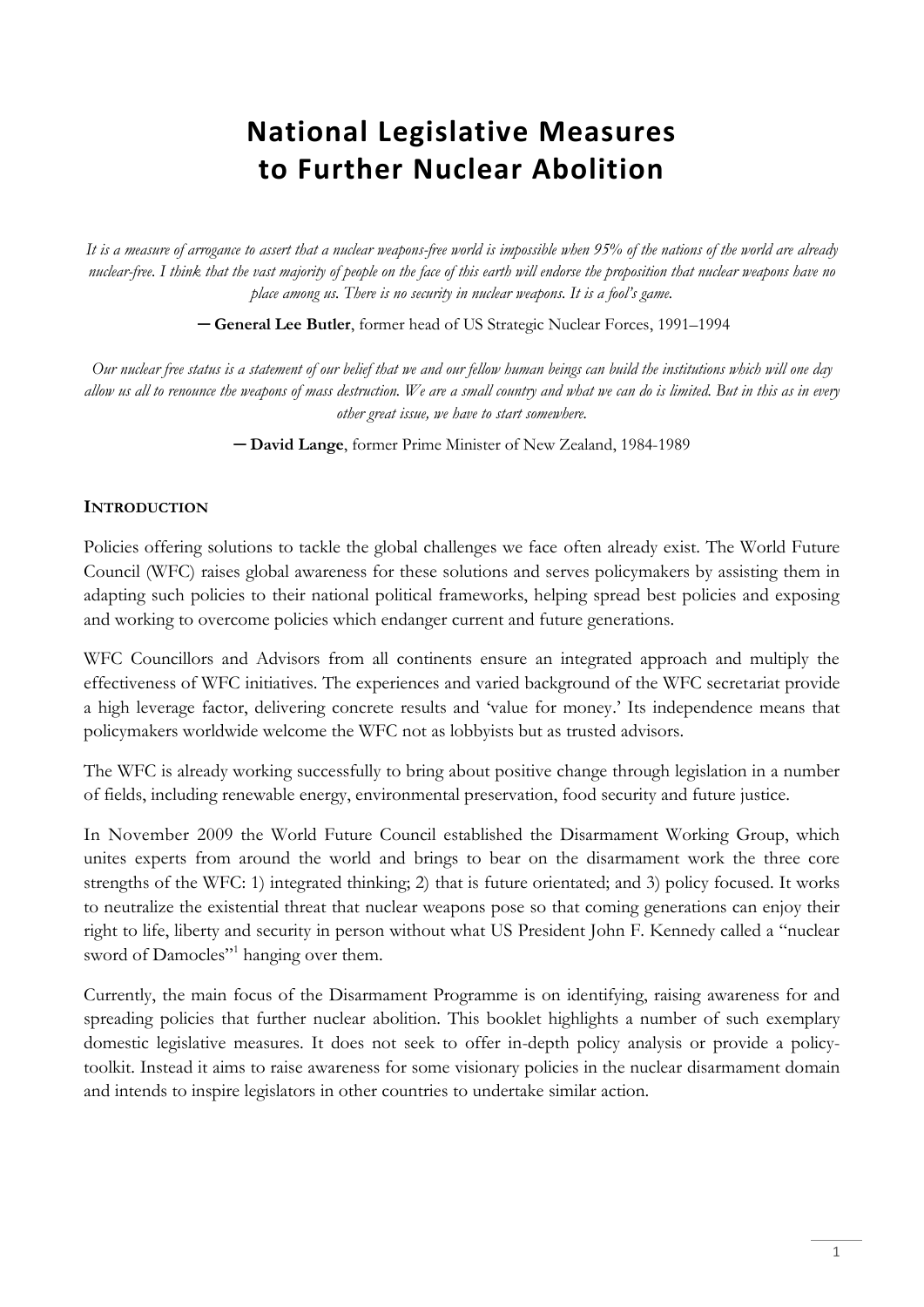# **National Legislative Measures to Further Nuclear Abolition**

*It is a measure of arrogance to assert that a nuclear weapons-free world is impossible when 95% of the nations of the world are already nuclear-free. I think that the vast majority of people on the face of this earth will endorse the proposition that nuclear weapons have no place among us. There is no security in nuclear weapons. It is a fool's game.*

**─ General Lee Butler**, former head of US Strategic Nuclear Forces, 1991–1994

*Our nuclear free status is a statement of our belief that we and our fellow human beings can build the institutions which will one day allow us all to renounce the weapons of mass destruction. We are a small country and what we can do is limited. But in this as in every other great issue, we have to start somewhere.*

**─ David Lange**, former Prime Minister of New Zealand, 1984-1989

# **INTRODUCTION**

Policies offering solutions to tackle the global challenges we face often already exist. The World Future Council (WFC) raises global awareness for these solutions and serves policymakers by assisting them in adapting such policies to their national political frameworks, helping spread best policies and exposing and working to overcome policies which endanger current and future generations.

WFC Councillors and Advisors from all continents ensure an integrated approach and multiply the effectiveness of WFC initiatives. The experiences and varied background of the WFC secretariat provide a high leverage factor, delivering concrete results and 'value for money.' Its independence means that policymakers worldwide welcome the WFC not as lobbyists but as trusted advisors.

The WFC is already working successfully to bring about positive change through legislation in a number of fields, including renewable energy, environmental preservation, food security and future justice.

In November 2009 the World Future Council established the Disarmament Working Group, which unites experts from around the world and brings to bear on the disarmament work the three core strengths of the WFC: 1) integrated thinking; 2) that is future orientated; and 3) policy focused. It works to neutralize the existential threat that nuclear weapons pose so that coming generations can enjoy their right to life, liberty and security in person without what US President John F. Kennedy called a "nuclear sword of Damocles"<sup>1</sup> hanging over them.

Currently, the main focus of the Disarmament Programme is on identifying, raising awareness for and spreading policies that further nuclear abolition. This booklet highlights a number of such exemplary domestic legislative measures. It does not seek to offer in-depth policy analysis or provide a policytoolkit. Instead it aims to raise awareness for some visionary policies in the nuclear disarmament domain and intends to inspire legislators in other countries to undertake similar action.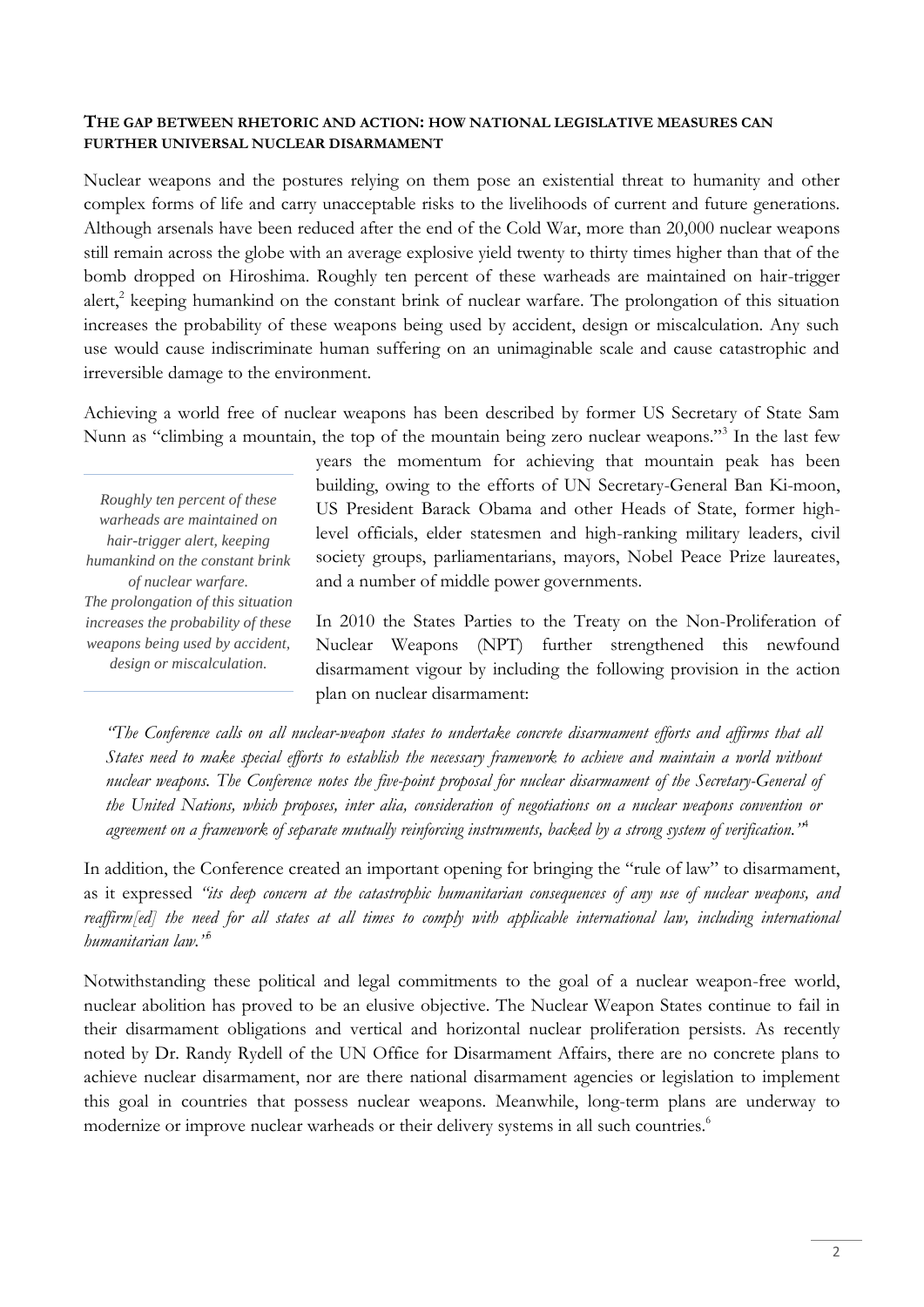# **THE GAP BETWEEN RHETORIC AND ACTION: HOW NATIONAL LEGISLATIVE MEASURES CAN FURTHER UNIVERSAL NUCLEAR DISARMAMENT**

Nuclear weapons and the postures relying on them pose an existential threat to humanity and other complex forms of life and carry unacceptable risks to the livelihoods of current and future generations. Although arsenals have been reduced after the end of the Cold War, more than 20,000 nuclear weapons still remain across the globe with an average explosive yield twenty to thirty times higher than that of the bomb dropped on Hiroshima. Roughly ten percent of these warheads are maintained on hair-trigger alert,<sup>2</sup> keeping humankind on the constant brink of nuclear warfare. The prolongation of this situation increases the probability of these weapons being used by accident, design or miscalculation. Any such use would cause indiscriminate human suffering on an unimaginable scale and cause catastrophic and irreversible damage to the environment.

Achieving a world free of nuclear weapons has been described by former US Secretary of State Sam Nunn as "climbing a mountain, the top of the mountain being zero nuclear weapons."<sup>3</sup> In the last few

*Roughly ten percent of these warheads are maintained on hair-trigger alert, keeping humankind on the constant brink of nuclear warfare. The prolongation of this situation increases the probability of these weapons being used by accident, design or miscalculation.*

years the momentum for achieving that mountain peak has been building, owing to the efforts of UN Secretary-General Ban Ki-moon, US President Barack Obama and other Heads of State, former highlevel officials, elder statesmen and high-ranking military leaders, civil society groups, parliamentarians, mayors, Nobel Peace Prize laureates, and a number of middle power governments.

In 2010 the States Parties to the Treaty on the Non-Proliferation of Nuclear Weapons (NPT) further strengthened this newfound disarmament vigour by including the following provision in the action plan on nuclear disarmament:

*"The Conference calls on all nuclear-weapon states to undertake concrete disarmament efforts and affirms that all States need to make special efforts to establish the necessary framework to achieve and maintain a world without nuclear weapons. The Conference notes the five-point proposal for nuclear disarmament of the Secretary-General of the United Nations, which proposes, inter alia, consideration of negotiations on a nuclear weapons convention or agreement on a framework of separate mutually reinforcing instruments, backed by a strong system of verification."*<sup>4</sup>

In addition, the Conference created an important opening for bringing the "rule of law" to disarmament, as it expressed *"its deep concern at the catastrophic humanitarian consequences of any use of nuclear weapons, and reaffirm[ed] the need for all states at all times to comply with applicable international law, including international humanitarian law."*<sup>5</sup>

Notwithstanding these political and legal commitments to the goal of a nuclear weapon-free world, nuclear abolition has proved to be an elusive objective. The Nuclear Weapon States continue to fail in their disarmament obligations and vertical and horizontal nuclear proliferation persists. As recently noted by Dr. Randy Rydell of the UN Office for Disarmament Affairs, there are no concrete plans to achieve nuclear disarmament, nor are there national disarmament agencies or legislation to implement this goal in countries that possess nuclear weapons. Meanwhile, long-term plans are underway to modernize or improve nuclear warheads or their delivery systems in all such countries.<sup>6</sup>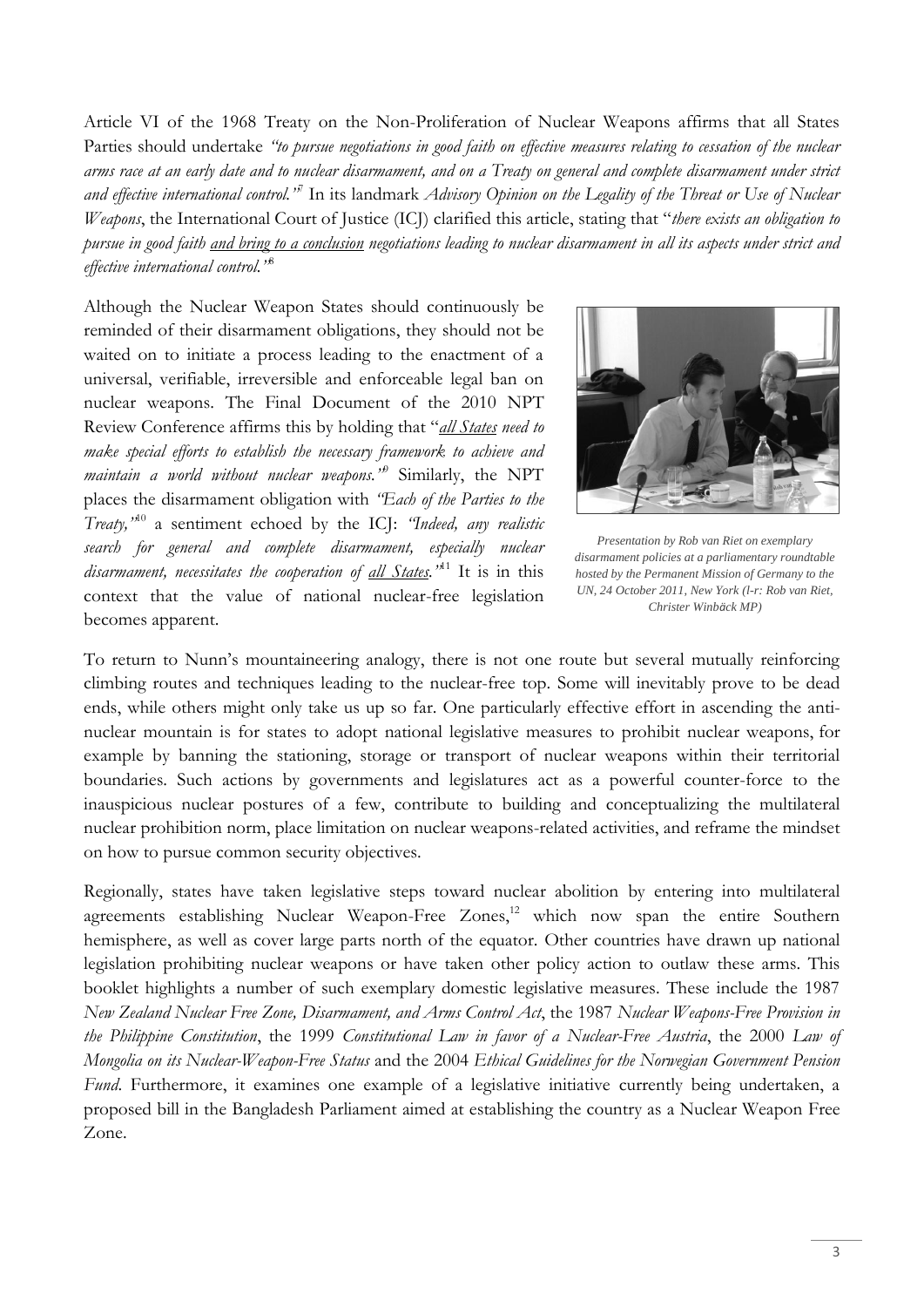Article VI of the 1968 Treaty on the Non-Proliferation of Nuclear Weapons affirms that all States Parties should undertake *"to pursue negotiations in good faith on effective measures relating to cessation of the nuclear arms race at an early date and to nuclear disarmament, and on a Treaty on general and complete disarmament under strict*  and effective international control.<sup>37</sup> In its landmark *Advisory Opinion on the Legality of the Threat or Use of Nuclear Weapons*, the International Court of Justice (ICJ) clarified this article, stating that "*there exists an obligation to pursue in good faith and bring to a conclusion negotiations leading to nuclear disarmament in all its aspects under strict and effective international control."* 8

Although the Nuclear Weapon States should continuously be reminded of their disarmament obligations, they should not be waited on to initiate a process leading to the enactment of a universal, verifiable, irreversible and enforceable legal ban on nuclear weapons. The Final Document of the 2010 NPT Review Conference affirms this by holding that "*all States need to make special efforts to establish the necessary framework to achieve and maintain a world without nuclear weapons."*<sup>9</sup> Similarly, the NPT places the disarmament obligation with *"Each of the Parties to the Treaty,"* <sup>10</sup> a sentiment echoed by the ICJ: *"Indeed, any realistic search for general and complete disarmament, especially nuclear disarmament, necessitates the cooperation of all States."*<sup>11</sup> It is in this context that the value of national nuclear-free legislation becomes apparent.



*Presentation by Rob van Riet on exemplary disarmament policies at a parliamentary roundtable hosted by the Permanent Mission of Germany to the UN, 24 October 2011, New York (l-r: Rob van Riet, Christer Winbäck MP)*

To return to Nunn's mountaineering analogy, there is not one route but several mutually reinforcing climbing routes and techniques leading to the nuclear-free top. Some will inevitably prove to be dead ends, while others might only take us up so far. One particularly effective effort in ascending the antinuclear mountain is for states to adopt national legislative measures to prohibit nuclear weapons, for example by banning the stationing, storage or transport of nuclear weapons within their territorial boundaries. Such actions by governments and legislatures act as a powerful counter-force to the inauspicious nuclear postures of a few, contribute to building and conceptualizing the multilateral nuclear prohibition norm, place limitation on nuclear weapons-related activities, and reframe the mindset on how to pursue common security objectives.

Regionally, states have taken legislative steps toward nuclear abolition by entering into multilateral agreements establishing Nuclear Weapon-Free Zones,<sup>12</sup> which now span the entire Southern hemisphere, as well as cover large parts north of the equator. Other countries have drawn up national legislation prohibiting nuclear weapons or have taken other policy action to outlaw these arms. This booklet highlights a number of such exemplary domestic legislative measures. These include the 1987 *New Zealand Nuclear Free Zone, Disarmament, and Arms Control Act*, the 1987 *Nuclear Weapons-Free Provision in the Philippine Constitution*, the 1999 *Constitutional Law in favor of a Nuclear-Free Austria*, the 2000 *Law of Mongolia on its Nuclear-Weapon-Free Status* and the 2004 *Ethical Guidelines for the Norwegian Government Pension Fund*. Furthermore, it examines one example of a legislative initiative currently being undertaken, a proposed bill in the Bangladesh Parliament aimed at establishing the country as a Nuclear Weapon Free Zone.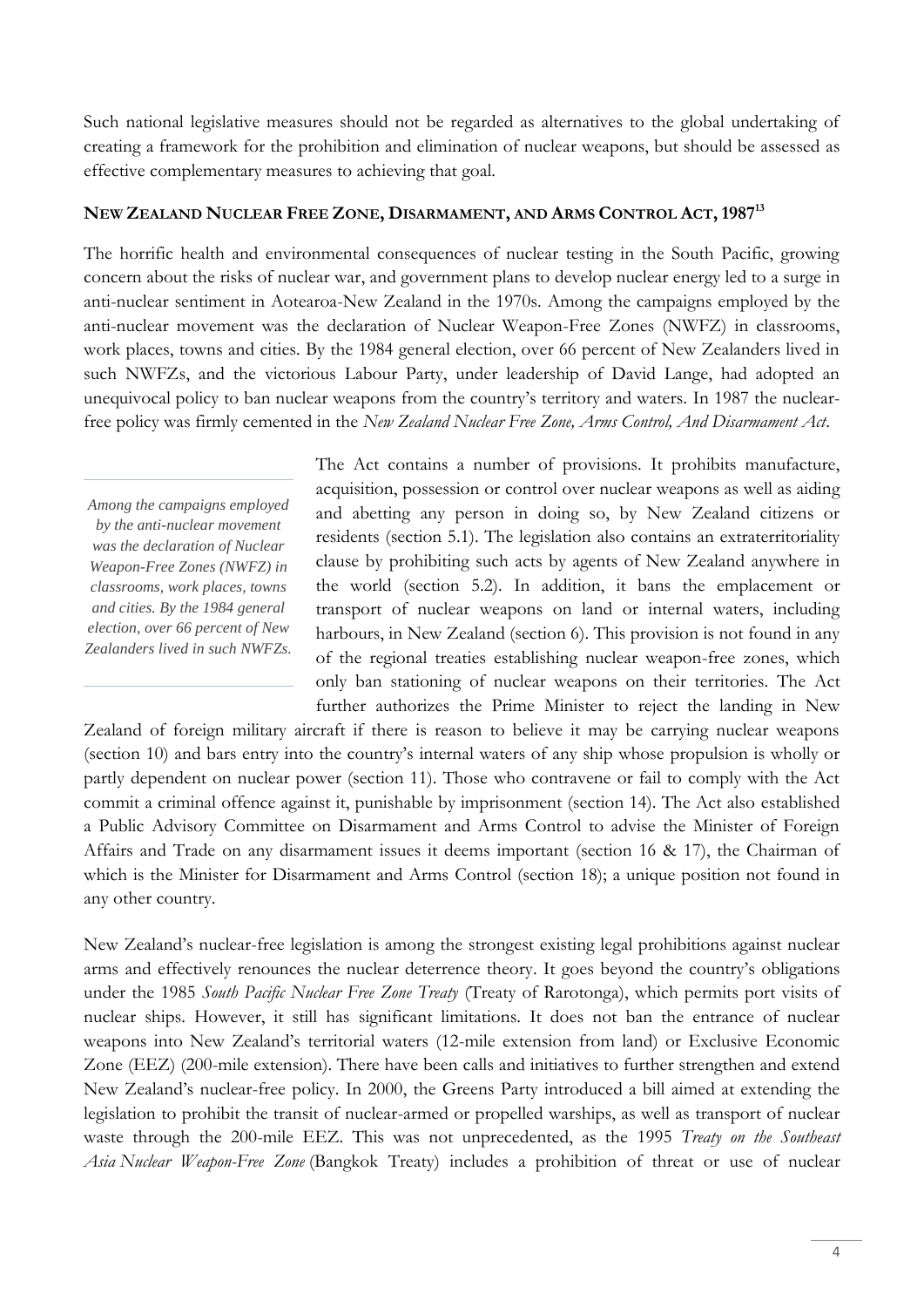Such national legislative measures should not be regarded as alternatives to the global undertaking of creating a framework for the prohibition and elimination of nuclear weapons, but should be assessed as effective complementary measures to achieving that goal.

# NEW ZEALAND NUCLEAR FREE ZONE, DISARMAMENT, AND ARMS CONTROL ACT, 1987<sup>13</sup>

The horrific health and environmental consequences of nuclear testing in the South Pacific, growing concern about the risks of nuclear war, and government plans to develop nuclear energy led to a surge in anti-nuclear sentiment in Aotearoa-New Zealand in the 1970s. Among the campaigns employed by the anti-nuclear movement was the declaration of Nuclear Weapon-Free Zones (NWFZ) in classrooms, work places, towns and cities. By the 1984 general election, over 66 percent of New Zealanders lived in such NWFZs, and the victorious Labour Party, under leadership of David Lange, had adopted an unequivocal policy to ban nuclear weapons from the country's territory and waters. In 1987 the nuclearfree policy was firmly cemented in the *New Zealand Nuclear Free Zone, Arms Control, And Disarmament Act*.

*Among the campaigns employed by the anti-nuclear movement was the declaration of Nuclear Weapon-Free Zones (NWFZ) in classrooms, work places, towns and cities. By the 1984 general election, over 66 percent of New Zealanders lived in such NWFZs.* The Act contains a number of provisions. It prohibits manufacture, acquisition, possession or control over nuclear weapons as well as aiding and abetting any person in doing so, by New Zealand citizens or residents (section 5.1). The legislation also contains an extraterritoriality clause by prohibiting such acts by agents of New Zealand anywhere in the world (section 5.2). In addition, it bans the emplacement or transport of nuclear weapons on land or internal waters, including harbours, in New Zealand (section 6). This provision is not found in any of the regional treaties establishing nuclear weapon-free zones, which only ban stationing of nuclear weapons on their territories. The Act further authorizes the Prime Minister to reject the landing in New

Zealand of foreign military aircraft if there is reason to believe it may be carrying nuclear weapons (section 10) and bars entry into the country's internal waters of any ship whose propulsion is wholly or partly dependent on nuclear power (section 11). Those who contravene or fail to comply with the Act commit a criminal offence against it, punishable by imprisonment (section 14). The Act also established a Public Advisory Committee on Disarmament and Arms Control to advise the Minister of Foreign Affairs and Trade on any disarmament issues it deems important (section 16 & 17), the Chairman of which is the Minister for Disarmament and Arms Control (section 18); a unique position not found in any other country.

New Zealand's nuclear-free legislation is among the strongest existing legal prohibitions against nuclear arms and effectively renounces the nuclear deterrence theory. It goes beyond the country's obligations under the 1985 *South Pacific Nuclear Free Zone Treaty* (Treaty of Rarotonga), which permits port visits of nuclear ships. However, it still has significant limitations. It does not ban the entrance of nuclear weapons into New Zealand's territorial waters (12-mile extension from land) or Exclusive Economic Zone (EEZ) (200-mile extension). There have been calls and initiatives to further strengthen and extend New Zealand's nuclear-free policy. In 2000, the Greens Party introduced a bill aimed at extending the legislation to prohibit the transit of nuclear-armed or propelled warships, as well as transport of nuclear waste through the 200-mile EEZ. This was not unprecedented, as the 1995 *Treaty on the Southeast Asia Nuclear Weapon-Free Zone* (Bangkok Treaty) includes a prohibition of threat or use of nuclear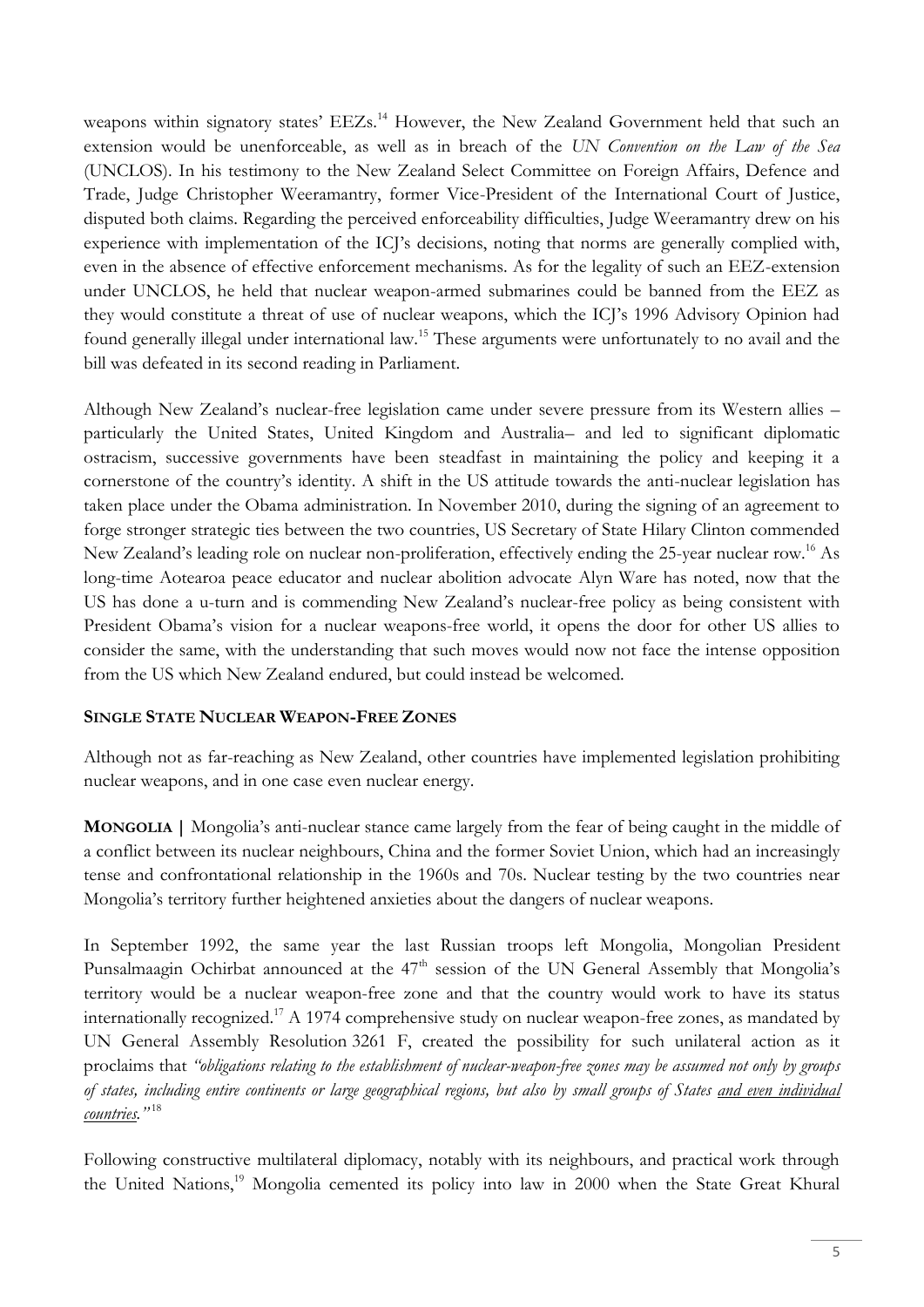weapons within signatory states' EEZs.<sup>14</sup> However, the New Zealand Government held that such an extension would be unenforceable, as well as in breach of the *UN Convention on the Law of the Sea* (UNCLOS). In his testimony to the New Zealand Select Committee on Foreign Affairs, Defence and Trade, Judge Christopher Weeramantry, former Vice-President of the International Court of Justice, disputed both claims. Regarding the perceived enforceability difficulties, Judge Weeramantry drew on his experience with implementation of the ICJ's decisions, noting that norms are generally complied with, even in the absence of effective enforcement mechanisms. As for the legality of such an EEZ-extension under UNCLOS, he held that nuclear weapon-armed submarines could be banned from the EEZ as they would constitute a threat of use of nuclear weapons, which the ICJ's 1996 Advisory Opinion had found generally illegal under international law.<sup>15</sup> These arguments were unfortunately to no avail and the bill was defeated in its second reading in Parliament.

Although New Zealand's nuclear-free legislation came under severe pressure from its Western allies – particularly the United States, United Kingdom and Australia– and led to significant diplomatic ostracism, successive governments have been steadfast in maintaining the policy and keeping it a cornerstone of the country's identity. A shift in the US attitude towards the anti-nuclear legislation has taken place under the Obama administration. In November 2010, during the signing of an agreement to forge stronger strategic ties between the two countries, US Secretary of State Hilary Clinton commended New Zealand's leading role on nuclear non-proliferation, effectively ending the 25-year nuclear row.<sup>16</sup> As long-time Aotearoa peace educator and nuclear abolition advocate Alyn Ware has noted, now that the US has done a u-turn and is commending New Zealand's nuclear-free policy as being consistent with President Obama's vision for a nuclear weapons-free world, it opens the door for other US allies to consider the same, with the understanding that such moves would now not face the intense opposition from the US which New Zealand endured, but could instead be welcomed.

# **SINGLE STATE NUCLEAR WEAPON-FREE ZONES**

Although not as far-reaching as New Zealand, other countries have implemented legislation prohibiting nuclear weapons, and in one case even nuclear energy.

**MONGOLIA |** Mongolia's anti-nuclear stance came largely from the fear of being caught in the middle of a conflict between its nuclear neighbours, China and the former Soviet Union, which had an increasingly tense and confrontational relationship in the 1960s and 70s. Nuclear testing by the two countries near Mongolia's territory further heightened anxieties about the dangers of nuclear weapons.

In September 1992, the same year the last Russian troops left Mongolia, Mongolian President Punsalmaagin Ochirbat announced at the 47<sup>th</sup> session of the UN General Assembly that Mongolia's territory would be a nuclear weapon-free zone and that the country would work to have its status internationally recognized.<sup>17</sup> A 1974 comprehensive study on nuclear weapon-free zones, as mandated by UN General Assembly Resolution 3261 F, created the possibility for such unilateral action as it proclaims that *"obligations relating to the establishment of nuclear-weapon-free zones may be assumed not only by groups of states, including entire continents or large geographical regions, but also by small groups of States and even individual countries."* 18

Following constructive multilateral diplomacy, notably with its neighbours, and practical work through the United Nations,<sup>19</sup> Mongolia cemented its policy into law in 2000 when the State Great Khural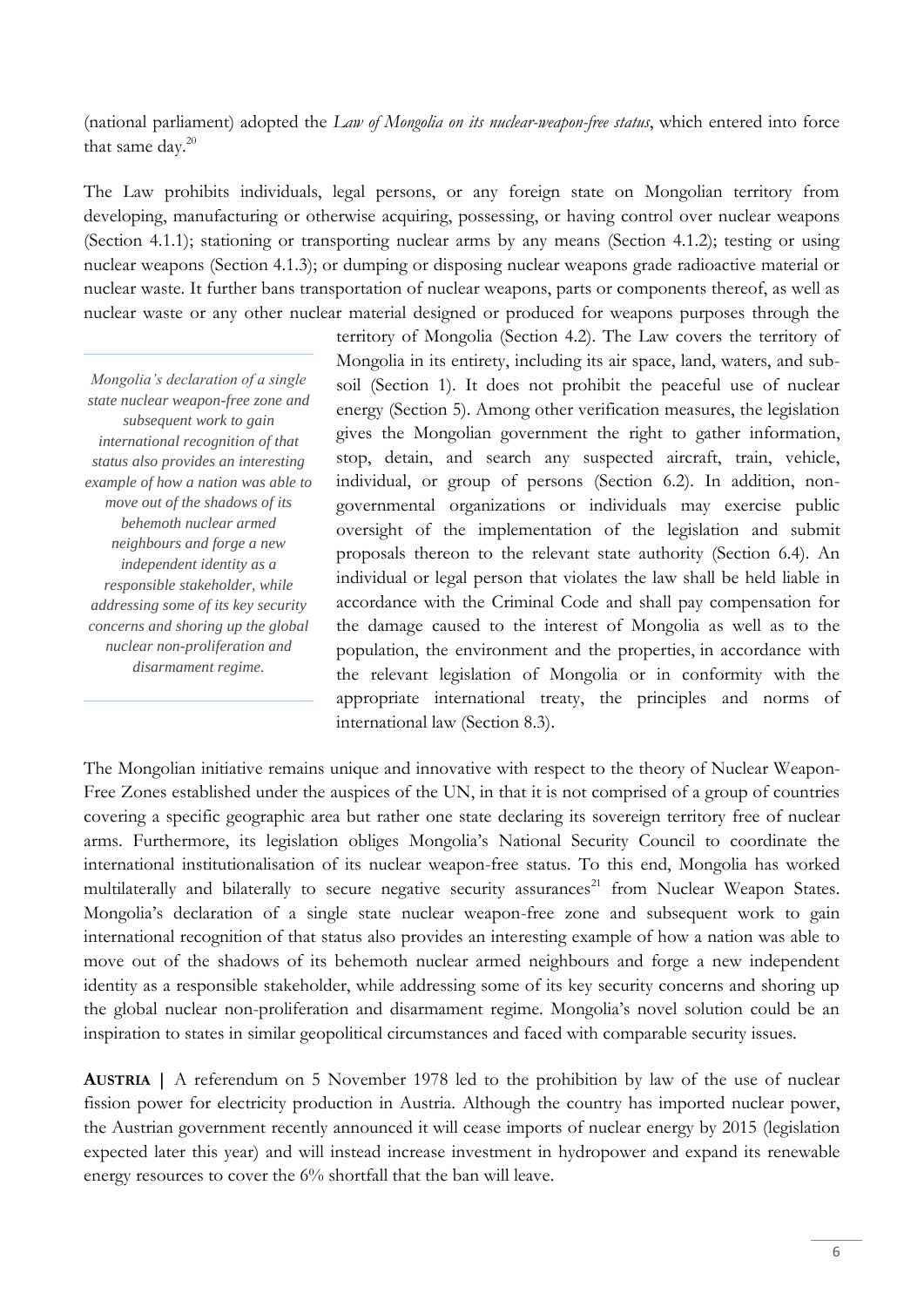(national parliament) adopted the *Law of Mongolia on its nuclear-weapon-free status*, which entered into force that same day.<sup>20</sup>

The Law prohibits individuals, legal persons, or any foreign state on Mongolian territory from developing, manufacturing or otherwise acquiring, possessing, or having control over nuclear weapons (Section 4.1.1); stationing or transporting nuclear arms by any means (Section 4.1.2); testing or using nuclear weapons (Section 4.1.3); or dumping or disposing nuclear weapons grade radioactive material or nuclear waste. It further bans transportation of nuclear weapons, parts or components thereof, as well as nuclear waste or any other nuclear material designed or produced for weapons purposes through the

*Mongolia's declaration of a single state nuclear weapon-free zone and subsequent work to gain international recognition of that status also provides an interesting example of how a nation was able to move out of the shadows of its behemoth nuclear armed neighbours and forge a new independent identity as a responsible stakeholder, while addressing some of its key security concerns and shoring up the global nuclear non-proliferation and disarmament regime.*

territory of Mongolia (Section 4.2). The Law covers the territory of Mongolia in its entirety, including its air space, land, waters, and subsoil (Section 1). It does not prohibit the peaceful use of nuclear energy (Section 5). Among other verification measures, the legislation gives the Mongolian government the right to gather information, stop, detain, and search any suspected aircraft, train, vehicle, individual, or group of persons (Section 6.2). In addition, nongovernmental organizations or individuals may exercise public oversight of the implementation of the legislation and submit proposals thereon to the relevant state authority (Section 6.4). An individual or legal person that violates the law shall be held liable in accordance with the Criminal Code and shall pay compensation for the damage caused to the interest of Mongolia as well as to the population, the environment and the properties, in accordance with the relevant legislation of Mongolia or in conformity with the appropriate international treaty, the principles and norms of international law (Section 8.3).

The Mongolian initiative remains unique and innovative with respect to the theory of Nuclear Weapon-Free Zones established under the auspices of the UN, in that it is not comprised of a group of countries covering a specific geographic area but rather one state declaring its sovereign territory free of nuclear arms. Furthermore, its legislation obliges Mongolia's National Security Council to coordinate the international institutionalisation of its nuclear weapon-free status. To this end, Mongolia has worked multilaterally and bilaterally to secure negative security assurances<sup>21</sup> from Nuclear Weapon States. Mongolia's declaration of a single state nuclear weapon-free zone and subsequent work to gain international recognition of that status also provides an interesting example of how a nation was able to move out of the shadows of its behemoth nuclear armed neighbours and forge a new independent identity as a responsible stakeholder, while addressing some of its key security concerns and shoring up the global nuclear non-proliferation and disarmament regime. Mongolia's novel solution could be an inspiration to states in similar geopolitical circumstances and faced with comparable security issues.

**AUSTRIA |** A referendum on 5 November 1978 led to the prohibition by law of the use of nuclear fission power for electricity production in Austria. Although the country has imported nuclear power, the Austrian government recently announced it will cease imports of nuclear energy by 2015 (legislation expected later this year) and will instead increase investment in hydropower and expand its renewable energy resources to cover the 6% shortfall that the ban will leave.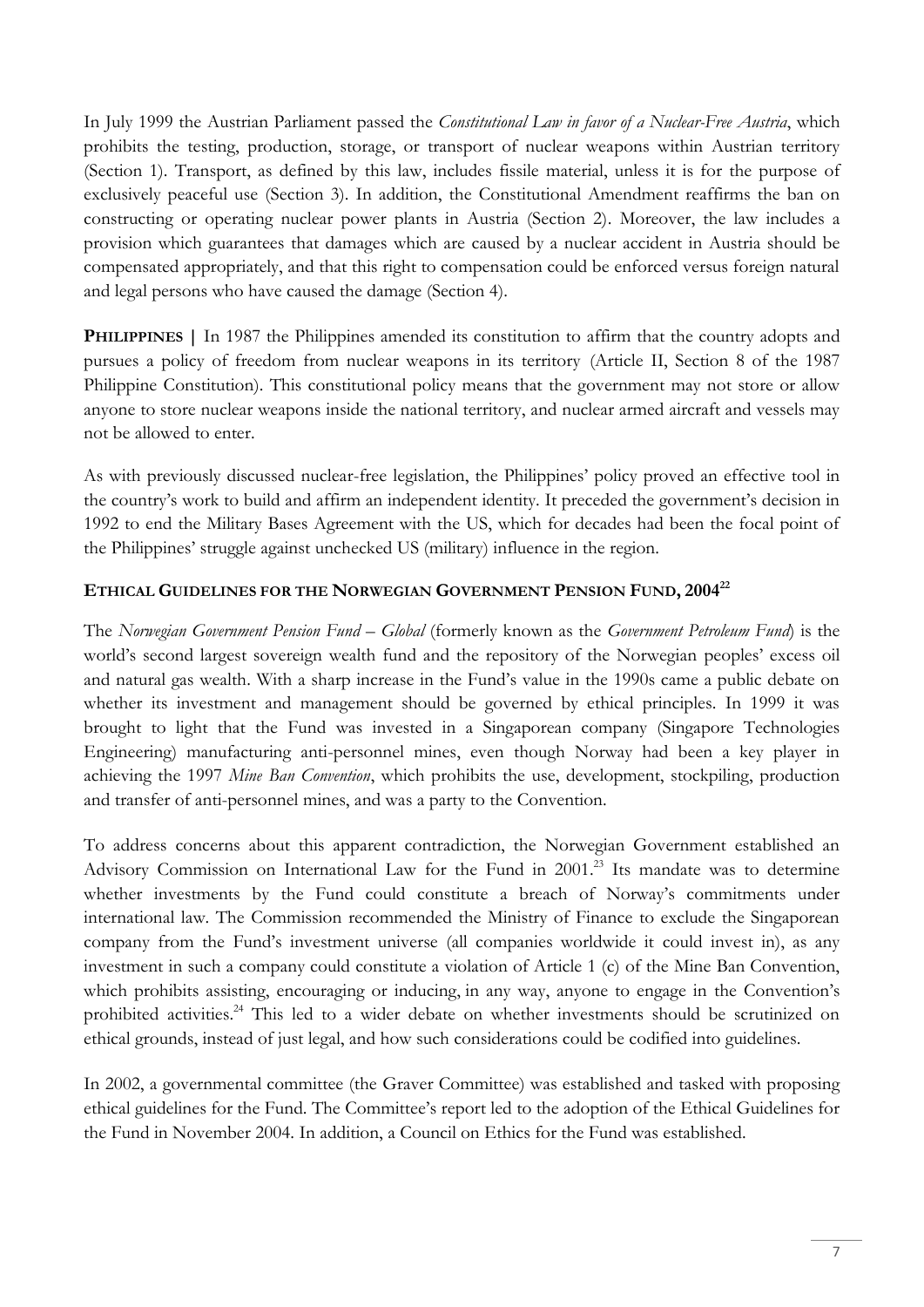In July 1999 the Austrian Parliament passed the *Constitutional Law in favor of a Nuclear-Free Austria*, which prohibits the testing, production, storage, or transport of nuclear weapons within Austrian territory (Section 1). Transport, as defined by this law, includes fissile material, unless it is for the purpose of exclusively peaceful use (Section 3). In addition, the Constitutional Amendment reaffirms the ban on constructing or operating nuclear power plants in Austria (Section 2). Moreover, the law includes a provision which guarantees that damages which are caused by a nuclear accident in Austria should be compensated appropriately, and that this right to compensation could be enforced versus foreign natural and legal persons who have caused the damage (Section 4).

**PHILIPPINES** | In 1987 the Philippines amended its constitution to affirm that the country adopts and pursues a policy of freedom from nuclear weapons in its territory (Article II, Section 8 of the 1987 Philippine Constitution). This constitutional policy means that the government may not store or allow anyone to store nuclear weapons inside the national territory, and nuclear armed aircraft and vessels may not be allowed to enter.

As with previously discussed nuclear-free legislation, the Philippines' policy proved an effective tool in the country's work to build and affirm an independent identity. It preceded the government's decision in 1992 to end the Military Bases Agreement with the US, which for decades had been the focal point of the Philippines' struggle against unchecked US (military) influence in the region.

# **ETHICAL GUIDELINES FOR THE NORWEGIAN GOVERNMENT PENSION FUND, 2004<sup>22</sup>**

The *Norwegian Government Pension Fund – Global* (formerly known as the *Government Petroleum Fund*) is the world's second largest sovereign wealth fund and the repository of the Norwegian peoples' excess oil and natural gas wealth. With a sharp increase in the Fund's value in the 1990s came a public debate on whether its investment and management should be governed by ethical principles. In 1999 it was brought to light that the Fund was invested in a Singaporean company (Singapore Technologies Engineering) manufacturing anti-personnel mines, even though Norway had been a key player in achieving the 1997 *Mine Ban Convention*, which prohibits the use, development, stockpiling, production and transfer of anti-personnel mines, and was a party to the Convention.

To address concerns about this apparent contradiction, the Norwegian Government established an Advisory Commission on International Law for the Fund in 2001.<sup>23</sup> Its mandate was to determine whether investments by the Fund could constitute a breach of Norway's commitments under international law. The Commission recommended the Ministry of Finance to exclude the Singaporean company from the Fund's investment universe (all companies worldwide it could invest in), as any investment in such a company could constitute a violation of Article 1 (c) of the Mine Ban Convention, which prohibits assisting, encouraging or inducing, in any way, anyone to engage in the Convention's prohibited activities.<sup>24</sup> This led to a wider debate on whether investments should be scrutinized on ethical grounds, instead of just legal, and how such considerations could be codified into guidelines.

In 2002, a governmental committee (the Graver Committee) was established and tasked with proposing ethical guidelines for the Fund. The Committee's report led to the adoption of the Ethical Guidelines for the Fund in November 2004. In addition, a Council on Ethics for the Fund was established.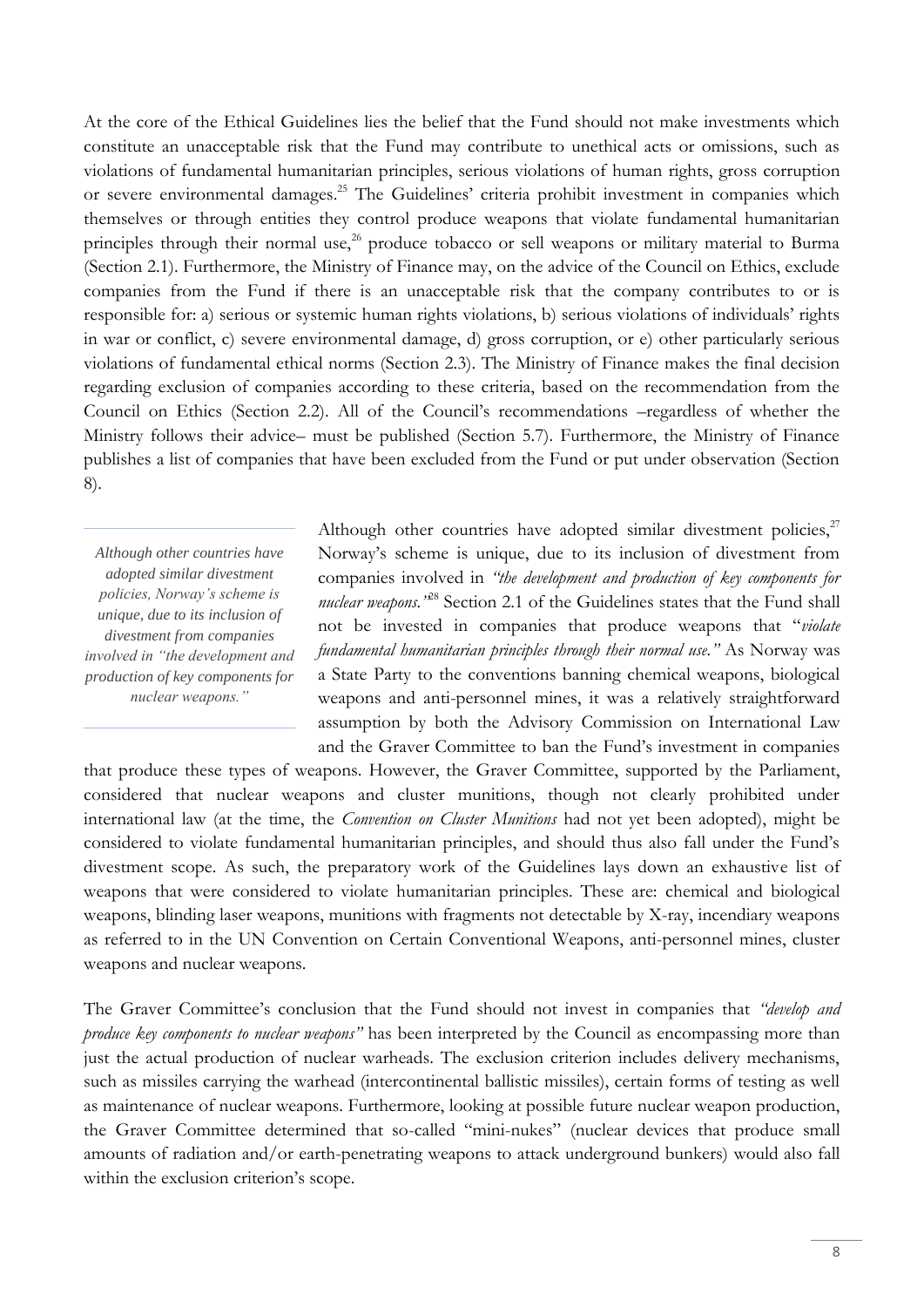At the core of the Ethical Guidelines lies the belief that the Fund should not make investments which constitute an unacceptable risk that the Fund may contribute to unethical acts or omissions, such as violations of fundamental humanitarian principles, serious violations of human rights, gross corruption or severe environmental damages.<sup>25</sup> The Guidelines' criteria prohibit investment in companies which themselves or through entities they control produce weapons that violate fundamental humanitarian principles through their normal use,<sup>26</sup> produce tobacco or sell weapons or military material to Burma (Section 2.1). Furthermore, the Ministry of Finance may, on the advice of the Council on Ethics, exclude companies from the Fund if there is an unacceptable risk that the company contributes to or is responsible for: a) serious or systemic human rights violations, b) serious violations of individuals' rights in war or conflict, c) severe environmental damage, d) gross corruption, or e) other particularly serious violations of fundamental ethical norms (Section 2.3). The Ministry of Finance makes the final decision regarding exclusion of companies according to these criteria, based on the recommendation from the Council on Ethics (Section 2.2). All of the Council's recommendations –regardless of whether the Ministry follows their advice– must be published (Section 5.7). Furthermore, the Ministry of Finance publishes a list of companies that have been excluded from the Fund or put under observation (Section 8).

*Although other countries have adopted similar divestment policies, Norway's scheme is unique, due to its inclusion of divestment from companies involved in "the development and production of key components for nuclear weapons."*

Although other countries have adopted similar divestment policies, $2^7$ Norway's scheme is unique, due to its inclusion of divestment from companies involved in *"the development and production of key components for nuclear weapons."*<sup>28</sup> Section 2.1 of the Guidelines states that the Fund shall not be invested in companies that produce weapons that "*violate fundamental humanitarian principles through their normal use."* As Norway was a State Party to the conventions banning chemical weapons, biological weapons and anti-personnel mines, it was a relatively straightforward assumption by both the Advisory Commission on International Law and the Graver Committee to ban the Fund's investment in companies

that produce these types of weapons. However, the Graver Committee, supported by the Parliament, considered that nuclear weapons and cluster munitions, though not clearly prohibited under international law (at the time, the *Convention on Cluster Munitions* had not yet been adopted), might be considered to violate fundamental humanitarian principles, and should thus also fall under the Fund's divestment scope. As such, the preparatory work of the Guidelines lays down an exhaustive list of weapons that were considered to violate humanitarian principles. These are: chemical and biological weapons, blinding laser weapons, munitions with fragments not detectable by X-ray, incendiary weapons as referred to in the UN Convention on Certain Conventional Weapons, anti-personnel mines, cluster weapons and nuclear weapons.

The Graver Committee's conclusion that the Fund should not invest in companies that *"develop and produce key components to nuclear weapons"* has been interpreted by the Council as encompassing more than just the actual production of nuclear warheads. The exclusion criterion includes delivery mechanisms, such as missiles carrying the warhead (intercontinental ballistic missiles), certain forms of testing as well as maintenance of nuclear weapons. Furthermore, looking at possible future nuclear weapon production, the Graver Committee determined that so-called "mini-nukes" (nuclear devices that produce small amounts of radiation and/or earth-penetrating weapons to attack underground bunkers) would also fall within the exclusion criterion's scope.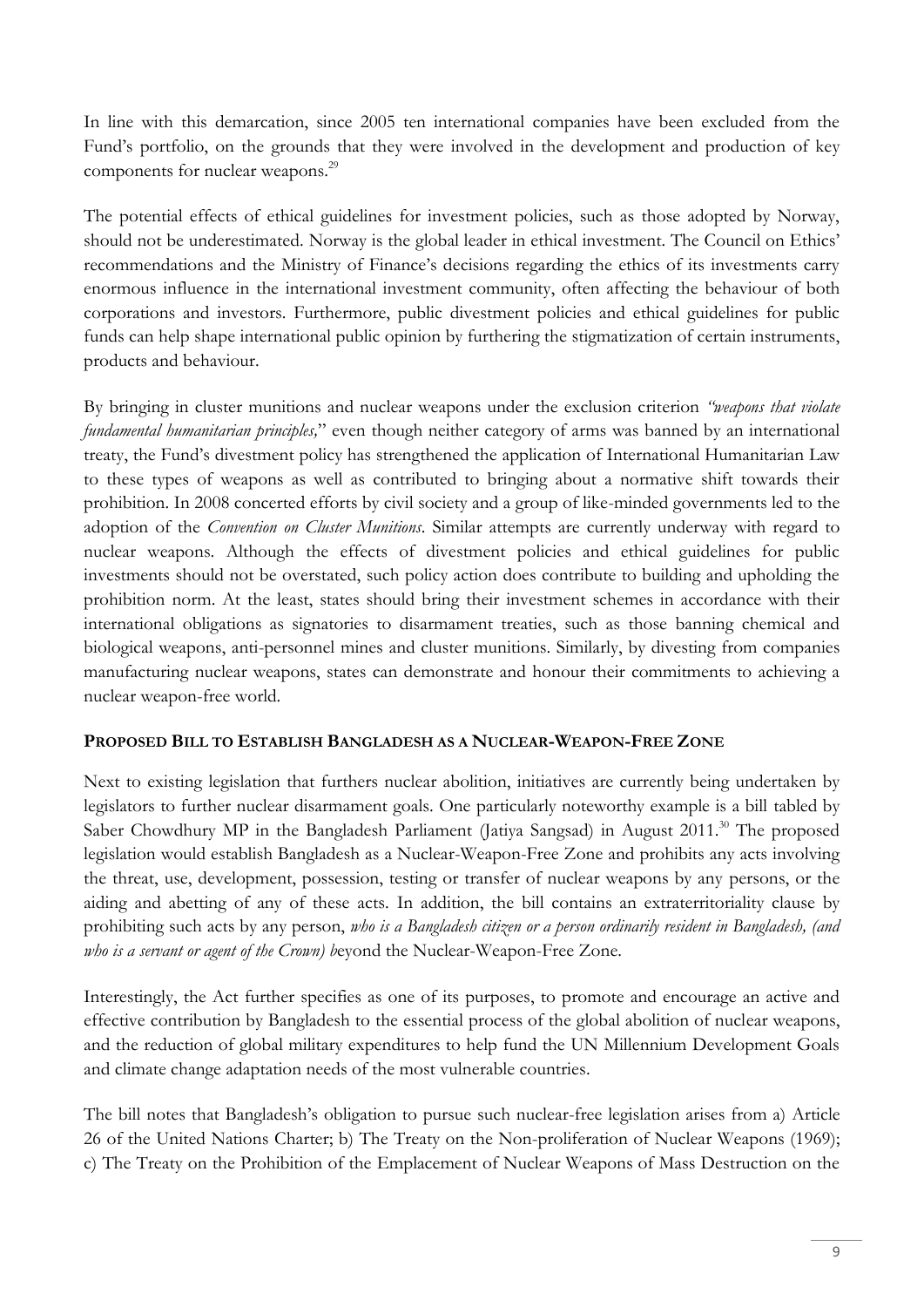In line with this demarcation, since 2005 ten international companies have been excluded from the Fund's portfolio, on the grounds that they were involved in the development and production of key components for nuclear weapons.<sup>29</sup>

The potential effects of ethical guidelines for investment policies, such as those adopted by Norway, should not be underestimated. Norway is the global leader in ethical investment. The Council on Ethics' recommendations and the Ministry of Finance's decisions regarding the ethics of its investments carry enormous influence in the international investment community, often affecting the behaviour of both corporations and investors. Furthermore, public divestment policies and ethical guidelines for public funds can help shape international public opinion by furthering the stigmatization of certain instruments, products and behaviour.

By bringing in cluster munitions and nuclear weapons under the exclusion criterion *"weapons that violate fundamental humanitarian principles,*" even though neither category of arms was banned by an international treaty, the Fund's divestment policy has strengthened the application of International Humanitarian Law to these types of weapons as well as contributed to bringing about a normative shift towards their prohibition. In 2008 concerted efforts by civil society and a group of like-minded governments led to the adoption of the *Convention on Cluster Munitions*. Similar attempts are currently underway with regard to nuclear weapons. Although the effects of divestment policies and ethical guidelines for public investments should not be overstated, such policy action does contribute to building and upholding the prohibition norm. At the least, states should bring their investment schemes in accordance with their international obligations as signatories to disarmament treaties, such as those banning chemical and biological weapons, anti-personnel mines and cluster munitions. Similarly, by divesting from companies manufacturing nuclear weapons, states can demonstrate and honour their commitments to achieving a nuclear weapon-free world.

# **PROPOSED BILL TO ESTABLISH BANGLADESH AS A NUCLEAR-WEAPON-FREE ZONE**

Next to existing legislation that furthers nuclear abolition, initiatives are currently being undertaken by legislators to further nuclear disarmament goals. One particularly noteworthy example is a bill tabled by Saber Chowdhury MP in the Bangladesh Parliament (Jatiya Sangsad) in August 2011.<sup>30</sup> The proposed legislation would establish Bangladesh as a Nuclear-Weapon-Free Zone and prohibits any acts involving the threat, use, development, possession, testing or transfer of nuclear weapons by any persons, or the aiding and abetting of any of these acts. In addition, the bill contains an extraterritoriality clause by prohibiting such acts by any person, *who is a Bangladesh citizen or a person ordinarily resident in Bangladesh, (and who is a servant or agent of the Crown) b*eyond the Nuclear-Weapon-Free Zone.

Interestingly, the Act further specifies as one of its purposes, to promote and encourage an active and effective contribution by Bangladesh to the essential process of the global abolition of nuclear weapons, and the reduction of global military expenditures to help fund the UN Millennium Development Goals and climate change adaptation needs of the most vulnerable countries.

The bill notes that Bangladesh's obligation to pursue such nuclear-free legislation arises from a) Article 26 of the United Nations Charter; b) The Treaty on the Non-proliferation of Nuclear Weapons (1969); c) The Treaty on the Prohibition of the Emplacement of Nuclear Weapons of Mass Destruction on the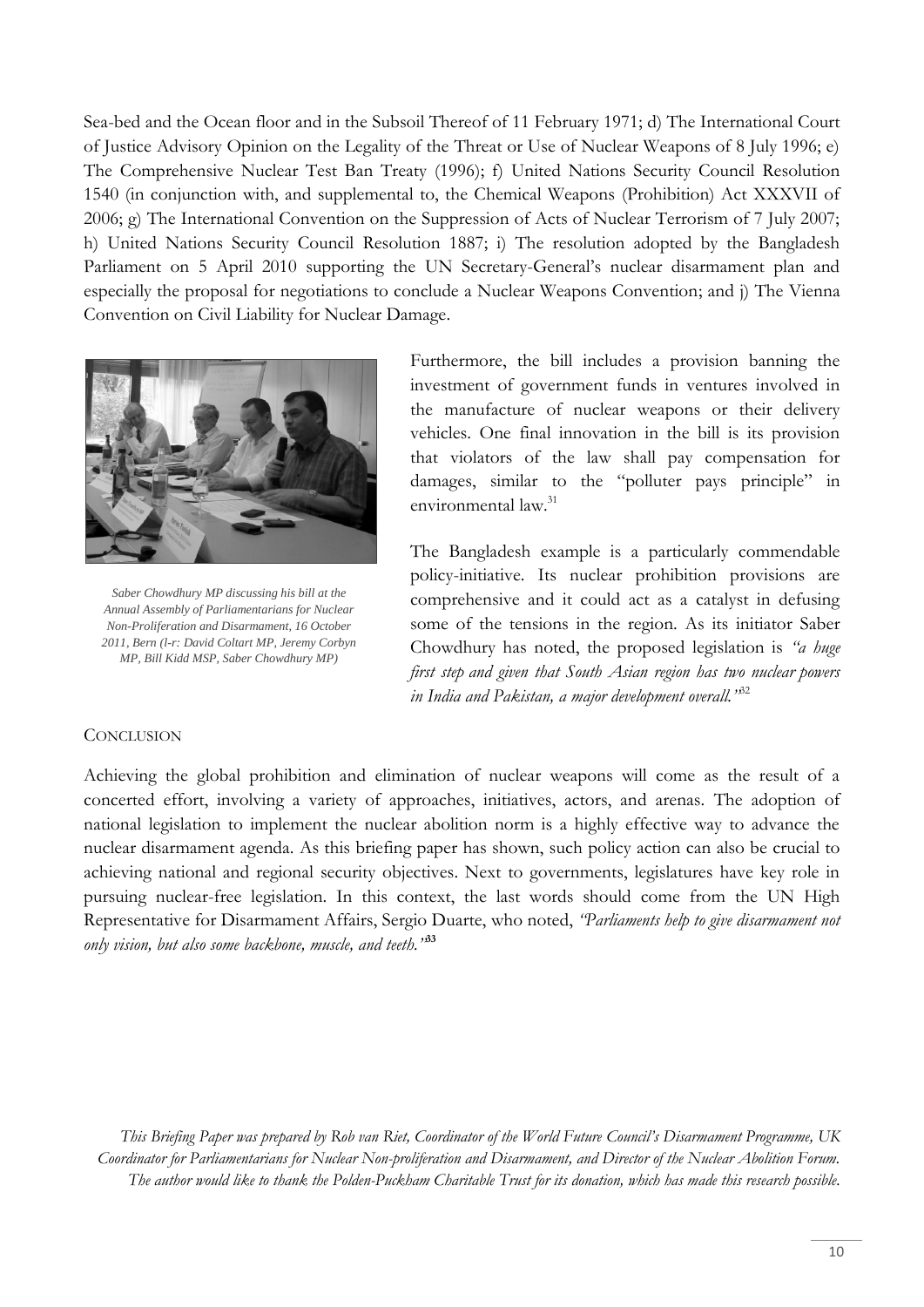Sea-bed and the Ocean floor and in the Subsoil Thereof of 11 February 1971; d) The International Court of Justice Advisory Opinion on the Legality of the Threat or Use of Nuclear Weapons of 8 July 1996; e) The Comprehensive Nuclear Test Ban Treaty (1996); f) United Nations Security Council Resolution 1540 (in conjunction with, and supplemental to, the Chemical Weapons (Prohibition) Act XXXVII of 2006; g) The International Convention on the Suppression of Acts of Nuclear Terrorism of 7 July 2007; h) United Nations Security Council Resolution 1887; i) The resolution adopted by the Bangladesh Parliament on 5 April 2010 supporting the UN Secretary-General's nuclear disarmament plan and especially the proposal for negotiations to conclude a Nuclear Weapons Convention; and j) The Vienna Convention on Civil Liability for Nuclear Damage.



*Saber Chowdhury MP discussing his bill at the Annual Assembly of Parliamentarians for Nuclear Non-Proliferation and Disarmament, 16 October 2011, Bern (l-r: David Coltart MP, Jeremy Corbyn MP, Bill Kidd MSP, Saber Chowdhury MP)*

Furthermore, the bill includes a provision banning the investment of government funds in ventures involved in the manufacture of nuclear weapons or their delivery vehicles. One final innovation in the bill is its provision that violators of the law shall pay compensation for damages, similar to the "polluter pays principle" in environmental law.<sup>31</sup>

The Bangladesh example is a particularly commendable policy-initiative. Its nuclear prohibition provisions are comprehensive and it could act as a catalyst in defusing some of the tensions in the region. As its initiator Saber Chowdhury has noted, the proposed legislation is *"a huge first step and given that South Asian region has two nuclear powers in India and Pakistan, a major development overall."*<sup>32</sup>

## **CONCLUSION**

Achieving the global prohibition and elimination of nuclear weapons will come as the result of a concerted effort, involving a variety of approaches, initiatives, actors, and arenas. The adoption of national legislation to implement the nuclear abolition norm is a highly effective way to advance the nuclear disarmament agenda. As this briefing paper has shown, such policy action can also be crucial to achieving national and regional security objectives. Next to governments, legislatures have key role in pursuing nuclear-free legislation. In this context, the last words should come from the UN High Representative for Disarmament Affairs, Sergio Duarte, who noted, *"Parliaments help to give disarmament not only vision, but also some backbone, muscle, and teeth."***<sup>33</sup>**

*This Briefing Paper was prepared by Rob van Riet, Coordinator of the World Future Council's Disarmament Programme, UK Coordinator for Parliamentarians for Nuclear Non-proliferation and Disarmament, and Director of the Nuclear Abolition Forum. The author would like to thank the Polden-Puckham Charitable Trust for its donation, which has made this research possible.*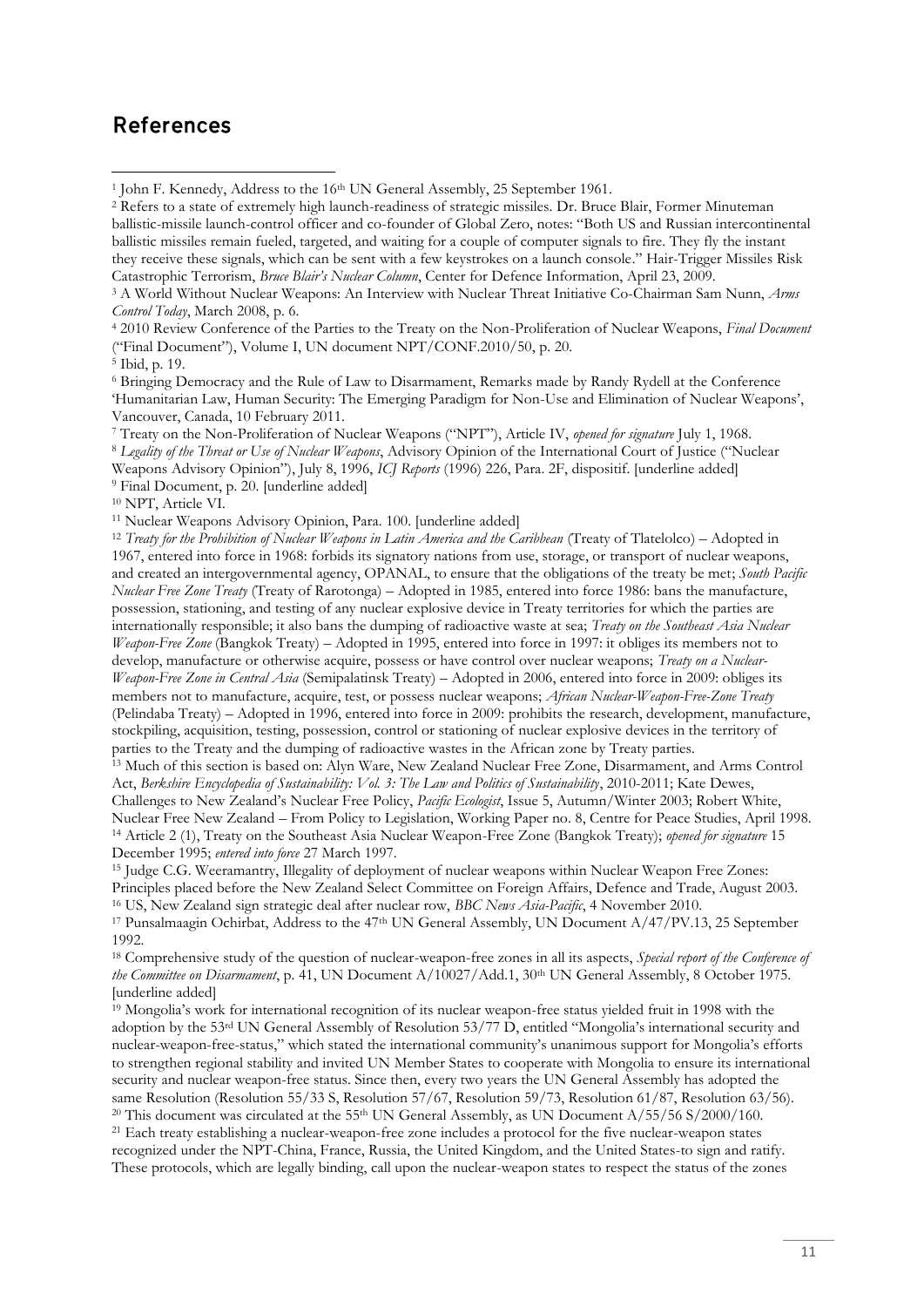# References

**.** 

<sup>4</sup> 2010 Review Conference of the Parties to the Treaty on the Non-Proliferation of Nuclear Weapons, *Final Document*  ("Final Document"), Volume I, UN document NPT/CONF.2010/50, p. 20.

<sup>6</sup> Bringing Democracy and the Rule of Law to Disarmament, Remarks made by Randy Rydell at the Conference 'Humanitarian Law, Human Security: The Emerging Paradigm for Non-Use and Elimination of Nuclear Weapons', Vancouver, Canada, 10 February 2011.

<sup>7</sup> Treaty on the Non-Proliferation of Nuclear Weapons ("NPT"), Article IV, *opened for signature* July 1, 1968. <sup>8</sup> *Legality of the Threat or Use of Nuclear Weapons*, Advisory Opinion of the International Court of Justice ("Nuclear Weapons Advisory Opinion"), July 8, 1996, *ICJ Reports* (1996) 226, Para. 2F, dispositif. [underline added] <sup>9</sup> Final Document, p. 20. [underline added]

<sup>11</sup> Nuclear Weapons Advisory Opinion, Para. 100. [underline added]

<sup>12</sup> *Treaty for the Prohibition of Nuclear Weapons in Latin America and the Caribbean* (Treaty of Tlatelolco) – Adopted in 1967, entered into force in 1968: forbids its signatory nations from use, storage, or transport of nuclear weapons, and created an intergovernmental agency, OPANAL, to ensure that the obligations of the treaty be met; *South Pacific Nuclear Free Zone Treaty* (Treaty of Rarotonga) – Adopted in 1985, entered into force 1986: bans the manufacture, possession, stationing, and testing of any nuclear explosive device in Treaty territories for which the parties are internationally responsible; it also bans the dumping of radioactive waste at sea; *Treaty on the Southeast Asia Nuclear Weapon-Free Zone* (Bangkok Treaty) – Adopted in 1995, entered into force in 1997: it obliges its members not to develop, manufacture or otherwise acquire, possess or have control over nuclear weapons; *Treaty on a Nuclear-Weapon-Free Zone in Central Asia* (Semipalatinsk Treaty) – Adopted in 2006, entered into force in 2009: obliges its members not to manufacture, acquire, test, or possess nuclear weapons; *African Nuclear-Weapon-Free-Zone Treaty* (Pelindaba Treaty) – Adopted in 1996, entered into force in 2009: prohibits the research, development, manufacture, stockpiling, acquisition, testing, possession, control or stationing of nuclear explosive devices in the territory of parties to the Treaty and the dumping of radioactive wastes in the African zone by Treaty parties.

<sup>13</sup> Much of this section is based on: Alyn Ware, New Zealand Nuclear Free Zone, Disarmament, and Arms Control Act, *Berkshire Encyclopedia of Sustainability: Vol. 3: The Law and Politics of Sustainability*, 2010-2011; Kate Dewes, Challenges to New Zealand's Nuclear Free Policy, *Pacific Ecologist*, Issue 5, Autumn/Winter 2003; Robert White, Nuclear Free New Zealand – From Policy to Legislation, Working Paper no. 8, Centre for Peace Studies, April 1998. <sup>14</sup> Article 2 (1), Treaty on the Southeast Asia Nuclear Weapon-Free Zone (Bangkok Treaty); *opened for signature* 15 December 1995; *entered into force* 27 March 1997.

<sup>15</sup> Judge C.G. Weeramantry, Illegality of deployment of nuclear weapons within Nuclear Weapon Free Zones: Principles placed before the New Zealand Select Committee on Foreign Affairs, Defence and Trade, August 2003. <sup>16</sup> US, New Zealand sign strategic deal after nuclear row, *BBC News Asia-Pacific*, 4 November 2010.

<sup>17</sup> Punsalmaagin Ochirbat, Address to the 47<sup>th</sup> UN General Assembly, UN Document A/47/PV.13, 25 September 1992.

<sup>18</sup> Comprehensive study of the question of nuclear-weapon-free zones in all its aspects, *Special report of the Conference of the Committee on Disarmament*, p. 41, UN Document A/10027/Add.1, 30<sup>th</sup> UN General Assembly, 8 October 1975. [underline added]

 $19$  Mongolia's work for international recognition of its nuclear weapon-free status yielded fruit in 1998 with the adoption by the 53rd UN General Assembly of Resolution 53/77 D, entitled "Mongolia's international security and nuclear-weapon-free-status," which stated the international community's unanimous support for Mongolia's efforts to strengthen regional stability and invited UN Member States to cooperate with Mongolia to ensure its international security and nuclear weapon-free status. Since then, every two years the UN General Assembly has adopted the same Resolution (Resolution 55/33 S, Resolution 57/67, Resolution 59/73, Resolution 61/87, Resolution 63/56). <sup>20</sup> This document was circulated at the 55<sup>th</sup> UN General Assembly, as UN Document  $A/55/56 S/2000/160$ .

<sup>21</sup> Each treaty establishing a nuclear-weapon-free zone includes a protocol for the five nuclear-weapon states

recognized under the NPT-China, France, Russia, the United Kingdom, and the United States-to sign and ratify. These protocols, which are legally binding, call upon the nuclear-weapon states to respect the status of the zones

<sup>&</sup>lt;sup>1</sup> John F. Kennedy, Address to the 16<sup>th</sup> UN General Assembly, 25 September 1961.

<sup>&</sup>lt;sup>2</sup> Refers to a state of extremely high launch-readiness of strategic missiles. Dr. Bruce Blair, Former Minuteman ballistic-missile launch-control officer and co-founder of Global Zero, notes: "Both US and Russian intercontinental ballistic missiles remain fueled, targeted, and waiting for a couple of computer signals to fire. They fly the instant they receive these signals, which can be sent with a few keystrokes on a launch console." Hair-Trigger Missiles Risk Catastrophic Terrorism, *Bruce Blair's Nuclear Column*, Center for Defence Information, April 23, 2009.

<sup>3</sup> A World Without Nuclear Weapons: An Interview with Nuclear Threat Initiative Co-Chairman Sam Nunn, *Arms Control Today*, March 2008, p. 6.

<sup>5</sup> Ibid, p. 19.

<sup>&</sup>lt;sup>10</sup> NPT, Article VI.